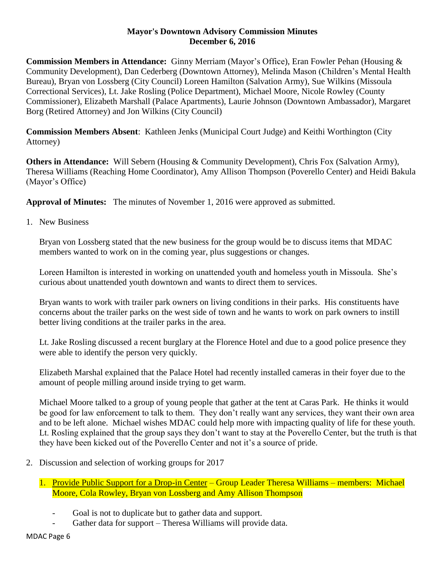## **Mayor's Downtown Advisory Commission Minutes December 6, 2016**

**Commission Members in Attendance:** Ginny Merriam (Mayor's Office), Eran Fowler Pehan (Housing & Community Development), Dan Cederberg (Downtown Attorney), Melinda Mason (Children's Mental Health Bureau), Bryan von Lossberg (City Council) Loreen Hamilton (Salvation Army), Sue Wilkins (Missoula Correctional Services), Lt. Jake Rosling (Police Department), Michael Moore, Nicole Rowley (County Commissioner), Elizabeth Marshall (Palace Apartments), Laurie Johnson (Downtown Ambassador), Margaret Borg (Retired Attorney) and Jon Wilkins (City Council)

**Commission Members Absent**: Kathleen Jenks (Municipal Court Judge) and Keithi Worthington (City Attorney)

**Others in Attendance:** Will Sebern (Housing & Community Development), Chris Fox (Salvation Army), Theresa Williams (Reaching Home Coordinator), Amy Allison Thompson (Poverello Center) and Heidi Bakula (Mayor's Office)

**Approval of Minutes:** The minutes of November 1, 2016 were approved as submitted.

1. New Business

Bryan von Lossberg stated that the new business for the group would be to discuss items that MDAC members wanted to work on in the coming year, plus suggestions or changes.

Loreen Hamilton is interested in working on unattended youth and homeless youth in Missoula. She's curious about unattended youth downtown and wants to direct them to services.

Bryan wants to work with trailer park owners on living conditions in their parks. His constituents have concerns about the trailer parks on the west side of town and he wants to work on park owners to instill better living conditions at the trailer parks in the area.

Lt. Jake Rosling discussed a recent burglary at the Florence Hotel and due to a good police presence they were able to identify the person very quickly.

Elizabeth Marshal explained that the Palace Hotel had recently installed cameras in their foyer due to the amount of people milling around inside trying to get warm.

Michael Moore talked to a group of young people that gather at the tent at Caras Park. He thinks it would be good for law enforcement to talk to them. They don't really want any services, they want their own area and to be left alone. Michael wishes MDAC could help more with impacting quality of life for these youth. Lt. Rosling explained that the group says they don't want to stay at the Poverello Center, but the truth is that they have been kicked out of the Poverello Center and not it's a source of pride.

2. Discussion and selection of working groups for 2017

1. Provide Public Support for a Drop-in Center – Group Leader Theresa Williams – members: Michael Moore, Cola Rowley, Bryan von Lossberg and Amy Allison Thompson

- Goal is not to duplicate but to gather data and support.
- Gather data for support Theresa Williams will provide data.